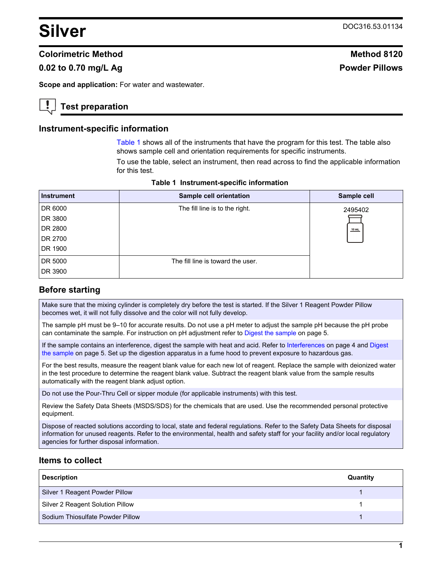# <span id="page-0-0"></span>**Silver** DOC316.53.01134

### **Colorimetric Method Method 8120**

## **0.02 to 0.70 mg/L Ag Powder Pillows**

**Scope and application:** For water and wastewater.

## **Test preparation**

#### **Instrument-specific information**

Table 1 shows all of the instruments that have the program for this test. The table also shows sample cell and orientation requirements for specific instruments.

To use the table, select an instrument, then read across to find the applicable information for this test.

| <b>Instrument</b> | <b>Sample cell orientation</b>    | Sample cell |
|-------------------|-----------------------------------|-------------|
| DR 6000           | The fill line is to the right.    | 2495402     |
| DR 3800           |                                   |             |
| DR 2800           |                                   | 10 mL       |
| DR 2700           |                                   |             |
| DR 1900           |                                   |             |
| DR 5000           | The fill line is toward the user. |             |
| DR 3900           |                                   |             |

**Table 1 Instrument-specific information** 

## **Before starting**

Make sure that the mixing cylinder is completely dry before the test is started. If the Silver 1 Reagent Powder Pillow becomes wet, it will not fully dissolve and the color will not fully develop.

The sample pH must be 9–10 for accurate results. Do not use a pH meter to adjust the sample pH because the pH probe can contaminate the sample. For instruction on pH adjustment refer to [Digest the sample](#page-4-0) on page 5.

If the sample contains an interference, digest the sample with heat and acid. Refer to [Interferences](#page-3-0) on page 4 and [Digest](#page-4-0) [the sample](#page-4-0) on page 5. Set up the digestion apparatus in a fume hood to prevent exposure to hazardous gas.

For the best results, measure the reagent blank value for each new lot of reagent. Replace the sample with deionized water in the test procedure to determine the reagent blank value. Subtract the reagent blank value from the sample results automatically with the reagent blank adjust option.

Do not use the Pour-Thru Cell or sipper module (for applicable instruments) with this test.

Review the Safety Data Sheets (MSDS/SDS) for the chemicals that are used. Use the recommended personal protective equipment.

Dispose of reacted solutions according to local, state and federal regulations. Refer to the Safety Data Sheets for disposal information for unused reagents. Refer to the environmental, health and safety staff for your facility and/or local regulatory agencies for further disposal information.

#### **Items to collect**

| <b>Description</b>               | Quantity |
|----------------------------------|----------|
| Silver 1 Reagent Powder Pillow   |          |
| Silver 2 Reagent Solution Pillow |          |
| Sodium Thiosulfate Powder Pillow |          |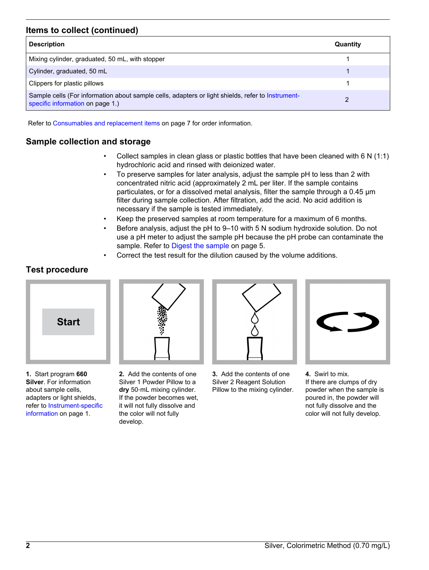## **Items to collect (continued)**

| <b>Description</b>                                                                                                                    | Quantity |
|---------------------------------------------------------------------------------------------------------------------------------------|----------|
| Mixing cylinder, graduated, 50 mL, with stopper                                                                                       |          |
| Cylinder, graduated, 50 mL                                                                                                            |          |
| Clippers for plastic pillows                                                                                                          |          |
| Sample cells (For information about sample cells, adapters or light shields, refer to Instrument-<br>specific information on page 1.) |          |

Refer to [Consumables and replacement items](#page-6-0) on page 7 for order information.

## **Sample collection and storage**

- Collect samples in clean glass or plastic bottles that have been cleaned with 6 N (1:1) hydrochloric acid and rinsed with deionized water.
- To preserve samples for later analysis, adjust the sample pH to less than 2 with concentrated nitric acid (approximately 2 mL per liter. If the sample contains particulates, or for a dissolved metal analysis, filter the sample through a 0.45 µm filter during sample collection. After filtration, add the acid. No acid addition is necessary if the sample is tested immediately.
- Keep the preserved samples at room temperature for a maximum of 6 months.
- Before analysis, adjust the pH to 9–10 with 5 N sodium hydroxide solution. Do not use a pH meter to adjust the sample pH because the pH probe can contaminate the sample. Refer to [Digest the sample](#page-4-0) on page 5.
- Correct the test result for the dilution caused by the volume additions.

## **Test procedure**



**1.** Start program **660 Silver**. For information about sample cells, adapters or light shields, refer to [Instrument-specific](#page-0-0) [information](#page-0-0) on page 1.

**2.** Add the contents of one Silver 1 Powder Pillow to a **dry** 50‑mL mixing cylinder. If the powder becomes wet, it will not fully dissolve and the color will not fully

develop.



**3.** Add the contents of one Silver 2 Reagent Solution Pillow to the mixing cylinder.



**4.** Swirl to mix. If there are clumps of dry powder when the sample is poured in, the powder will not fully dissolve and the color will not fully develop.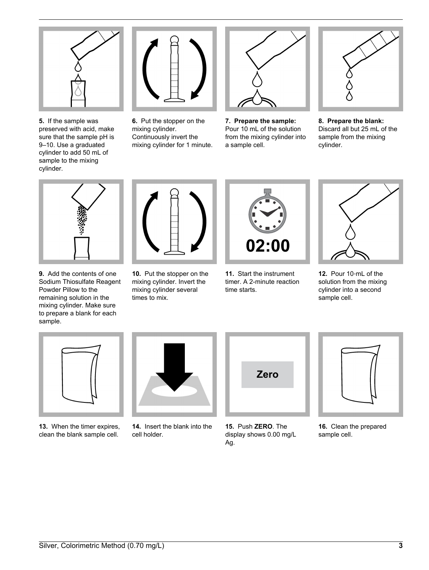

**5.** If the sample was preserved with acid, make sure that the sample pH is 9–10. Use a graduated cylinder to add 50 mL of sample to the mixing cylinder.



**6.** Put the stopper on the mixing cylinder. Continuously invert the mixing cylinder for 1 minute.



**7. Prepare the sample:** Pour 10 mL of the solution from the mixing cylinder into a sample cell.



**8. Prepare the blank:** Discard all but 25 mL of the sample from the mixing cylinder.



**9.** Add the contents of one Sodium Thiosulfate Reagent Powder Pillow to the remaining solution in the mixing cylinder. Make sure to prepare a blank for each sample.



**10.** Put the stopper on the mixing cylinder. Invert the mixing cylinder several times to mix.



**11.** Start the instrument timer. A 2-minute reaction time starts.



**12.** Pour 10‑mL of the solution from the mixing cylinder into a second sample cell.



**13.** When the timer expires, clean the blank sample cell.



**14.** Insert the blank into the cell holder.



**15.** Push **ZERO**. The display shows 0.00 mg/L Ag.



**16.** Clean the prepared sample cell.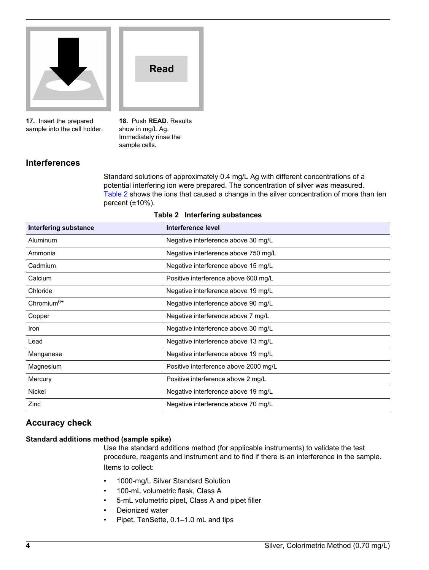<span id="page-3-0"></span>

**17.** Insert the prepared sample into the cell holder. **18.** Push **READ**. Results show in mg/L Ag. Immediately rinse the sample cells.

**Read**

## **Interferences**

Standard solutions of approximately 0.4 mg/L Ag with different concentrations of a potential interfering ion were prepared. The concentration of silver was measured. Table 2 shows the ions that caused a change in the silver concentration of more than ten percent  $(\pm 10\%)$ .

| <b>Interfering substance</b> | Interference level                    |
|------------------------------|---------------------------------------|
| Aluminum                     | Negative interference above 30 mg/L   |
| Ammonia                      | Negative interference above 750 mg/L  |
| Cadmium                      | Negative interference above 15 mg/L   |
| Calcium                      | Positive interference above 600 mg/L  |
| Chloride                     | Negative interference above 19 mg/L   |
| Chromium $6+$                | Negative interference above 90 mg/L   |
| Copper                       | Negative interference above 7 mg/L    |
| Iron                         | Negative interference above 30 mg/L   |
| Lead                         | Negative interference above 13 mg/L   |
| Manganese                    | Negative interference above 19 mg/L   |
| Magnesium                    | Positive interference above 2000 mg/L |
| Mercury                      | Positive interference above 2 mg/L    |
| <b>Nickel</b>                | Negative interference above 19 mg/L   |
| Zinc                         | Negative interference above 70 mg/L   |

#### **Table 2 Interfering substances**

## **Accuracy check**

#### **Standard additions method (sample spike)**

Use the standard additions method (for applicable instruments) to validate the test procedure, reagents and instrument and to find if there is an interference in the sample. Items to collect:

- 1000-mg/L Silver Standard Solution
- 100-mL volumetric flask, Class A
- 5-mL volumetric pipet, Class A and pipet filler
- Deionized water
- Pipet, TenSette, 0.1–1.0 mL and tips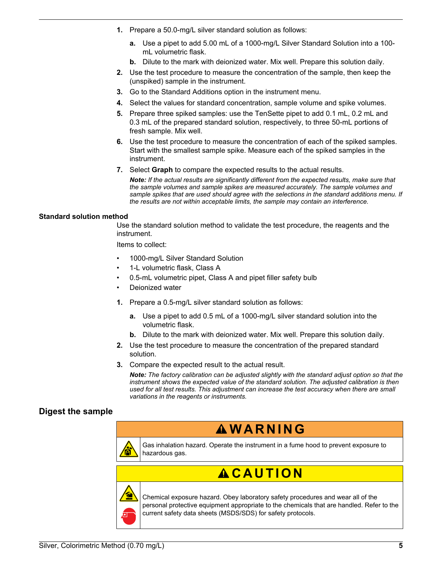- <span id="page-4-0"></span>**1.** Prepare a 50.0-mg/L silver standard solution as follows:
	- **a.** Use a pipet to add 5.00 mL of a 1000-mg/L Silver Standard Solution into a 100 mL volumetric flask.
	- **b.** Dilute to the mark with deionized water. Mix well. Prepare this solution daily.
- **2.** Use the test procedure to measure the concentration of the sample, then keep the (unspiked) sample in the instrument.
- **3.** Go to the Standard Additions option in the instrument menu.
- **4.** Select the values for standard concentration, sample volume and spike volumes.
- **5.** Prepare three spiked samples: use the TenSette pipet to add 0.1 mL, 0.2 mL and 0.3 mL of the prepared standard solution, respectively, to three 50-mL portions of fresh sample. Mix well.
- **6.** Use the test procedure to measure the concentration of each of the spiked samples. Start with the smallest sample spike. Measure each of the spiked samples in the instrument.
- **7.** Select **Graph** to compare the expected results to the actual results.

*Note: If the actual results are significantly different from the expected results, make sure that the sample volumes and sample spikes are measured accurately. The sample volumes and sample spikes that are used should agree with the selections in the standard additions menu. If the results are not within acceptable limits, the sample may contain an interference.*

#### **Standard solution method**

Use the standard solution method to validate the test procedure, the reagents and the instrument.

Items to collect:

- 1000-mg/L Silver Standard Solution
- 1-L volumetric flask, Class A
- 0.5-mL volumetric pipet, Class A and pipet filler safety bulb
- Deionized water
- **1.** Prepare a 0.5-mg/L silver standard solution as follows:
	- **a.** Use a pipet to add 0.5 mL of a 1000-mg/L silver standard solution into the volumetric flask.
	- **b.** Dilute to the mark with deionized water. Mix well. Prepare this solution daily.
- **2.** Use the test procedure to measure the concentration of the prepared standard solution.
- **3.** Compare the expected result to the actual result.

*Note: The factory calibration can be adjusted slightly with the standard adjust option so that the instrument shows the expected value of the standard solution. The adjusted calibration is then used for all test results. This adjustment can increase the test accuracy when there are small variations in the reagents or instruments.*

## **Digest the sample**



Gas inhalation hazard. Operate the instrument in a fume hood to prevent exposure to hazardous gas.

# $AC$ **AUTION**



Chemical exposure hazard. Obey laboratory safety procedures and wear all of the personal protective equipment appropriate to the chemicals that are handled. Refer to the current safety data sheets (MSDS/SDS) for safety protocols.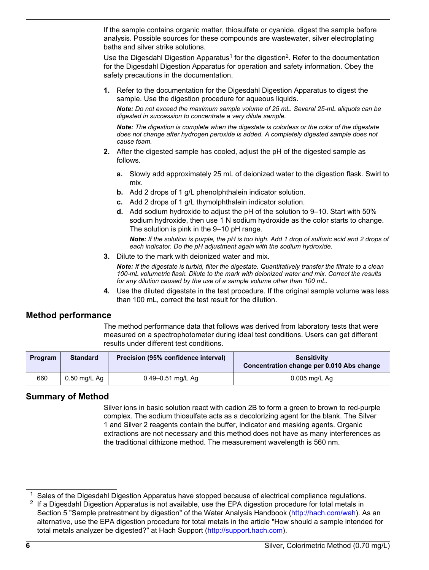If the sample contains organic matter, thiosulfate or cyanide, digest the sample before analysis. Possible sources for these compounds are wastewater, silver electroplating baths and silver strike solutions.

Use the Digesdahl Digestion Apparatus<sup>1</sup> for the digestion<sup>2</sup>. Refer to the documentation for the Digesdahl Digestion Apparatus for operation and safety information. Obey the safety precautions in the documentation.

**1.** Refer to the documentation for the Digesdahl Digestion Apparatus to digest the sample. Use the digestion procedure for aqueous liquids.

*Note: Do not exceed the maximum sample volume of 25 mL. Several 25-mL aliquots can be digested in succession to concentrate a very dilute sample.*

*Note: The digestion is complete when the digestate is colorless or the color of the digestate does not change after hydrogen peroxide is added. A completely digested sample does not cause foam.*

- **2.** After the digested sample has cooled, adjust the pH of the digested sample as follows.
	- **a.** Slowly add approximately 25 mL of deionized water to the digestion flask. Swirl to mix.
	- **b.** Add 2 drops of 1 g/L phenolphthalein indicator solution.
	- **c.** Add 2 drops of 1 g/L thymolphthalein indicator solution.
	- **d.** Add sodium hydroxide to adjust the pH of the solution to 9–10. Start with 50% sodium hydroxide, then use 1 N sodium hydroxide as the color starts to change. The solution is pink in the 9–10 pH range.

*Note: If the solution is purple, the pH is too high. Add 1 drop of sulfuric acid and 2 drops of each indicator. Do the pH adjustment again with the sodium hydroxide.*

**3.** Dilute to the mark with deionized water and mix.

*Note: If the digestate is turbid, filter the digestate. Quantitatively transfer the filtrate to a clean 100-mL volumetric flask. Dilute to the mark with deionized water and mix. Correct the results for any dilution caused by the use of a sample volume other than 100 mL.*

**4.** Use the diluted digestate in the test procedure. If the original sample volume was less than 100 mL, correct the test result for the dilution.

## **Method performance**

The method performance data that follows was derived from laboratory tests that were measured on a spectrophotometer during ideal test conditions. Users can get different results under different test conditions.

| Program | <b>Standard</b> | Precision (95% confidence interval) | <b>Sensitivity</b><br>Concentration change per 0.010 Abs change |
|---------|-----------------|-------------------------------------|-----------------------------------------------------------------|
| 660     | $0.50$ mg/L Ag  | $0.49 - 0.51$ mg/L Ag               | $0.005$ mg/L Ag                                                 |

## **Summary of Method**

Silver ions in basic solution react with cadion 2B to form a green to brown to red-purple complex. The sodium thiosulfate acts as a decolorizing agent for the blank. The Silver 1 and Silver 2 reagents contain the buffer, indicator and masking agents. Organic extractions are not necessary and this method does not have as many interferences as the traditional dithizone method. The measurement wavelength is 560 nm.

<sup>&</sup>lt;sup>1</sup> Sales of the Digesdahl Digestion Apparatus have stopped because of electrical compliance regulations.

 $2$  If a Digesdahl Digestion Apparatus is not available, use the EPA digestion procedure for total metals in Section 5 "Sample pretreatment by digestion" of the Water Analysis Handbook [\(http://hach.com/wah\)](http://hach.com/wah). As an alternative, use the EPA digestion procedure for total metals in the article "How should a sample intended for total metals analyzer be digested?" at Hach Support [\(http://support.hach.com\)](http://support.hach.com).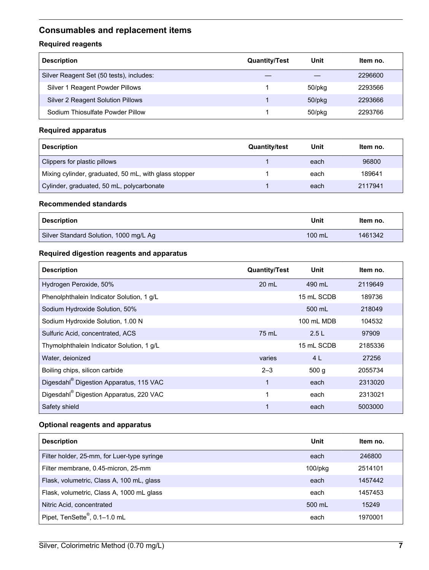## <span id="page-6-0"></span>**Consumables and replacement items**

## **Required reagents**

| <b>Description</b>                       | <b>Quantity/Test</b> | Unit         | ltem no. |
|------------------------------------------|----------------------|--------------|----------|
| Silver Reagent Set (50 tests), includes: |                      |              | 2296600  |
| Silver 1 Reagent Powder Pillows          |                      | 50/pkg       | 2293566  |
| Silver 2 Reagent Solution Pillows        |                      | $50$ /p $kg$ | 2293666  |
| Sodium Thiosulfate Powder Pillow         |                      | 50/pkg       | 2293766  |

#### **Required apparatus**

| <b>Description</b>                                    | <b>Quantity/test</b> | Unit | ltem no. |
|-------------------------------------------------------|----------------------|------|----------|
| Clippers for plastic pillows                          |                      | each | 96800    |
| Mixing cylinder, graduated, 50 mL, with glass stopper |                      | each | 189641   |
| Cylinder, graduated, 50 mL, polycarbonate             |                      | each | 2117941  |

#### **Recommended standards**

| <b>Description</b>                     | Unit     | Item no. |
|----------------------------------------|----------|----------|
| Silver Standard Solution, 1000 mg/L Ag | $100$ mL | 1461342  |

#### **Required digestion reagents and apparatus**

| <b>Description</b>                                  | <b>Quantity/Test</b> | Unit       | ltem no. |
|-----------------------------------------------------|----------------------|------------|----------|
| Hydrogen Peroxide, 50%                              | 20 mL                | 490 mL     | 2119649  |
| Phenolphthalein Indicator Solution, 1 g/L           |                      | 15 mL SCDB | 189736   |
| Sodium Hydroxide Solution, 50%                      |                      | 500 mL     | 218049   |
| Sodium Hydroxide Solution, 1.00 N                   |                      | 100 mL MDB | 104532   |
| Sulfuric Acid, concentrated, ACS                    | 75 mL                | 2.5L       | 97909    |
| Thymolphthalein Indicator Solution, 1 g/L           |                      | 15 mL SCDB | 2185336  |
| Water, deionized                                    | varies               | 4 L        | 27256    |
| Boiling chips, silicon carbide                      | $2 - 3$              | 500q       | 2055734  |
| Digesdahl <sup>®</sup> Digestion Apparatus, 115 VAC | 1                    | each       | 2313020  |
| Digesdahl® Digestion Apparatus, 220 VAC             | 1                    | each       | 2313021  |
| Safety shield                                       |                      | each       | 5003000  |

## **Optional reagents and apparatus**

| <b>Description</b>                          | Unit       | Item no. |
|---------------------------------------------|------------|----------|
| Filter holder, 25-mm, for Luer-type syringe | each       | 246800   |
| Filter membrane, 0.45-micron, 25-mm         | $100$ /pkg | 2514101  |
| Flask, volumetric, Class A, 100 mL, glass   | each       | 1457442  |
| Flask, volumetric, Class A, 1000 mL glass   | each       | 1457453  |
| Nitric Acid, concentrated                   | 500 mL     | 15249    |
| Pipet, TenSette <sup>®</sup> , 0.1-1.0 mL   | each       | 1970001  |